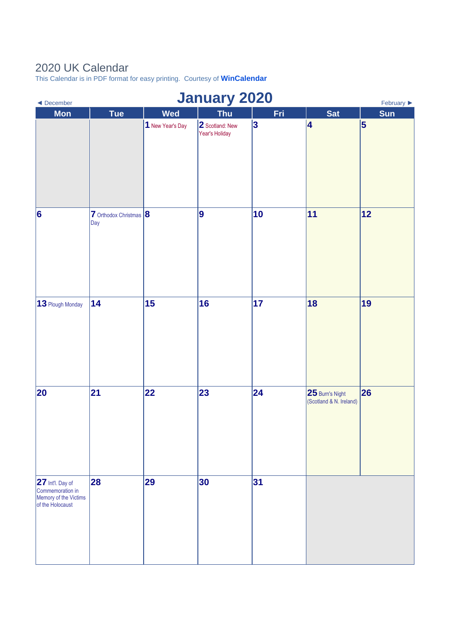## 2020 UK Calendar

This Calendar is in PDF format for easy printing. Courtesy of **[WinCalendar](https://www.wincalendar.com/2021-Calendar-with-UK-Holidays)**

| <b>January 2020</b><br>February $\blacktriangleright$<br>◀ December               |                               |                  |                                   |     |                                            |     |  |
|-----------------------------------------------------------------------------------|-------------------------------|------------------|-----------------------------------|-----|--------------------------------------------|-----|--|
| <b>Mon</b>                                                                        | <b>Tue</b>                    | <b>Wed</b>       | <b>Thu</b>                        | Fri | <b>Sat</b>                                 | Sun |  |
|                                                                                   |                               | 1 New Year's Day | 2 Scotland: New<br>Year's Holiday | 3   | 4                                          | 5   |  |
| $\vert 6 \vert$                                                                   | 7 Orthodox Christmas 8<br>Day |                  | 9                                 | 10  | 11                                         | 12  |  |
| 13 Plough Monday                                                                  | 14                            | 15               | 16                                | 17  | 18                                         | 19  |  |
| 20                                                                                | 21                            | 22               | 23                                | 24  | 25 Burn's Night<br>(Scotland & N. Ireland) | 26  |  |
| 27 Int'l. Day of<br>Commemoration in<br>Memory of the Victims<br>of the Holocaust | 28                            | 29               | 30                                | 31  |                                            |     |  |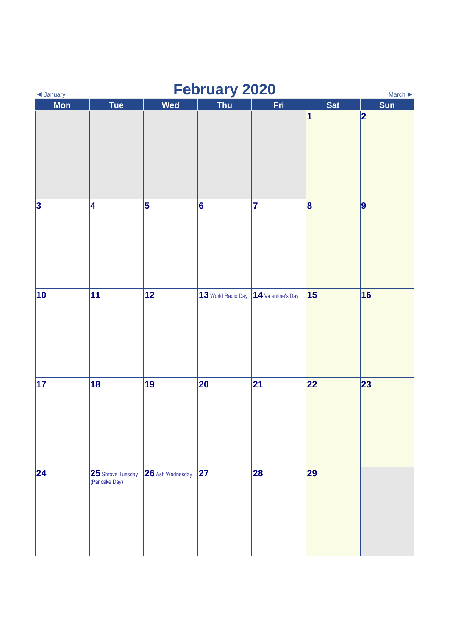| <b>February 2020</b><br>◀ January<br>March $\blacktriangleright$ |                                    |                         |                                       |     |            |     |  |
|------------------------------------------------------------------|------------------------------------|-------------------------|---------------------------------------|-----|------------|-----|--|
| <b>Mon</b>                                                       | <b>Tue</b>                         | <b>Wed</b>              | Thu                                   | Fri | <b>Sat</b> | Sun |  |
|                                                                  |                                    |                         |                                       |     | 1          | 2   |  |
| $\vert$ 3                                                        | 4                                  | $\overline{\mathbf{5}}$ | 6                                     | 7   | $\vert$ 8  | 9   |  |
| 10                                                               | 11                                 | 12                      | 13 World Radio Day 14 Valentine's Day |     | 15         | 16  |  |
| 17                                                               | 18                                 | 19                      | 20                                    | 21  | 22         | 23  |  |
| 24                                                               | 25 Shrove Tuesday<br>(Pancake Day) | 26 Ash Wednesday        | 27                                    | 28  | 29         |     |  |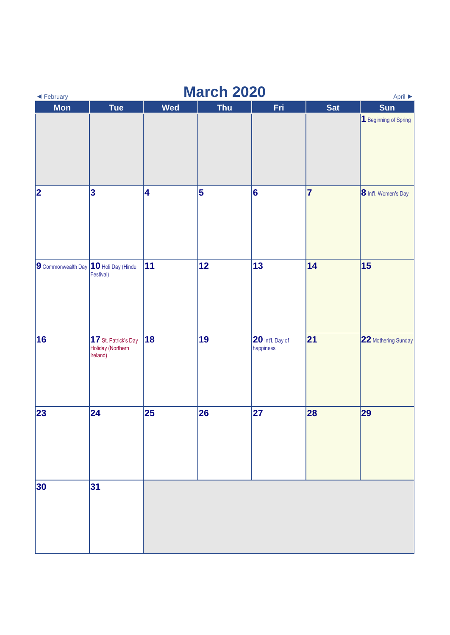| <b>March 2020</b><br>$\blacktriangleleft$ February<br>April $\blacktriangleright$ |                                                       |     |            |                               |            |                       |  |
|-----------------------------------------------------------------------------------|-------------------------------------------------------|-----|------------|-------------------------------|------------|-----------------------|--|
| <b>Mon</b>                                                                        | Tue                                                   | Wed | <b>Thu</b> | Fri                           | <b>Sat</b> | <b>Sun</b>            |  |
|                                                                                   |                                                       |     |            |                               |            | 1 Beginning of Spring |  |
| $ 2\rangle$                                                                       | 3                                                     | 4   | 5          | $\vert 6$                     | 7          | 8 Int'l. Women's Day  |  |
| 9 Commonwealth Day 10 Holi Day (Hindu                                             | Festival)                                             | 11  | 12         | 13                            | 14         | 15                    |  |
| 16                                                                                | 17 St. Patrick's Day<br>Holiday (Northern<br>Ireland) | 18  | 19         | 20 Int'l. Day of<br>happiness | 21         | 22 Mothering Sunday   |  |
| 23                                                                                | $\overline{24}$                                       | 25  | 26         | 27                            | 28         | 29                    |  |
| 30                                                                                | 31                                                    |     |            |                               |            |                       |  |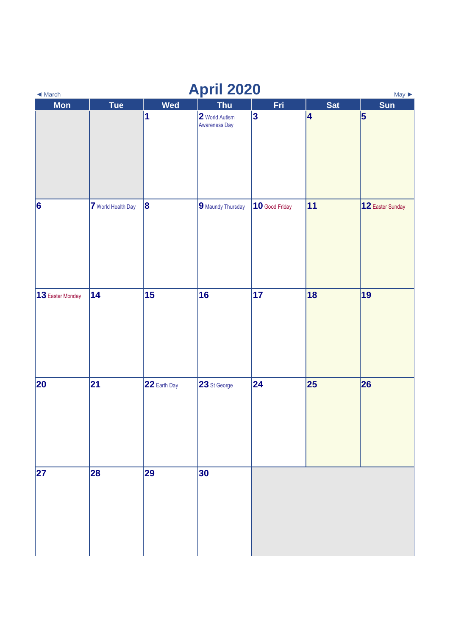| <b>April 2020</b><br>$May \triangleright$<br>$\blacktriangleleft$ March |                    |              |                                 |                 |            |                  |  |
|-------------------------------------------------------------------------|--------------------|--------------|---------------------------------|-----------------|------------|------------------|--|
| <b>Mon</b>                                                              | <b>Tue</b>         | <b>Wed</b>   | <b>Thu</b>                      | Fri             | <b>Sat</b> | <b>Sun</b>       |  |
|                                                                         |                    | 1            | 2 World Autism<br>Awareness Day | $\vert 3 \vert$ | 4          | 5                |  |
| $\vert 6 \vert$                                                         | 7 World Health Day | $\vert$ 8    | 9 Maundy Thursday               | 10 Good Friday  | 11         | 12 Easter Sunday |  |
| 13 Easter Monday                                                        | 14                 | 15           | 16                              | 17              | 18         | 19               |  |
| 20                                                                      | 21                 | 22 Earth Day | 23 St George                    | 24              | 25         | 26               |  |
| 27                                                                      | 28                 | 29           | 30                              |                 |            |                  |  |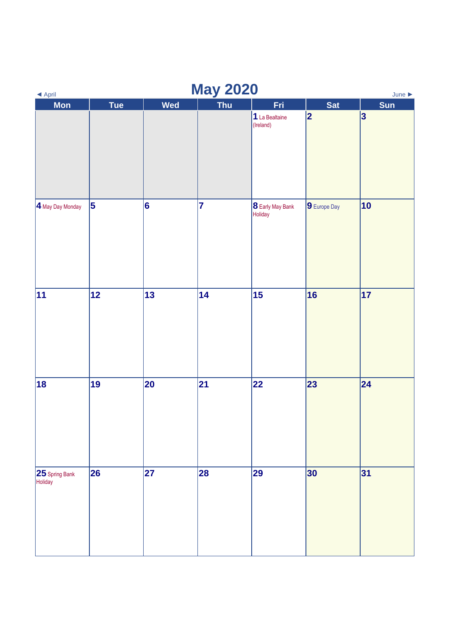| <b>May 2020</b><br>◀ April<br>June $\blacktriangleright$ |     |                 |            |                                    |              |                 |  |
|----------------------------------------------------------|-----|-----------------|------------|------------------------------------|--------------|-----------------|--|
| <b>Mon</b>                                               | Tue | Wed             | <b>Thu</b> | Fri                                | <b>Sat</b>   | Sun             |  |
|                                                          |     |                 |            | 1 La Bealtaine<br>(Ireland)        | 2            | $\vert 3 \vert$ |  |
| 4 May Day Monday                                         | 5   | $\vert 6 \vert$ | 7          | <b>8</b> Early May Bank<br>Holiday | 9 Europe Day | 10              |  |
| 11                                                       | 12  | 13              | 14         | 15                                 | 16           | 17              |  |
| 18                                                       | 19  | 20              | 21         | 22                                 | 23           | $\vert$ 24      |  |
| 25 Spring Bank<br>Holiday                                | 26  | 27              | 28         | 29                                 | 30           | 31              |  |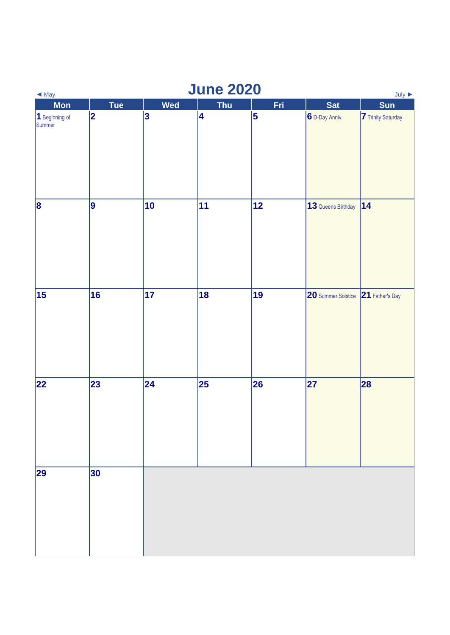| <b>June 2020</b><br>July $\blacktriangleright$<br>$\blacktriangleleft$ May |             |           |            |     |                    |                           |  |
|----------------------------------------------------------------------------|-------------|-----------|------------|-----|--------------------|---------------------------|--|
| <b>Mon</b>                                                                 | <b>Tue</b>  | Wed       | <b>Thu</b> | Fri | <b>Sat</b>         | <b>Sun</b>                |  |
| 1 Beginning of<br>Summer                                                   | $ 2\rangle$ | $\vert 3$ | 4          | 5   | 6 D-Day Anniv.     | <b>7</b> Trinity Saturday |  |
| $\vert$ 8                                                                  | 9           | 10        | 11         | 12  | 13 Queens Birthday | 14                        |  |
| 15                                                                         | 16          | 17        | 18         | 19  | 20 Summer Solstice | 21 Father's Day           |  |
| 22                                                                         | 23          | 24        | 25         | 26  | 27                 | 28                        |  |
| 29                                                                         | 30          |           |            |     |                    |                           |  |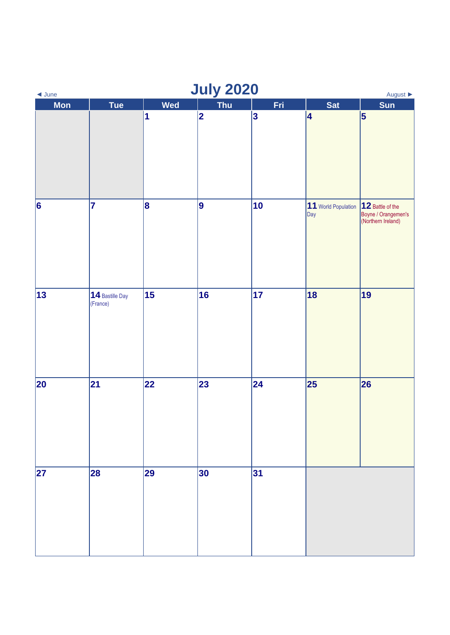| <b>July 2020</b><br>August $\blacktriangleright$<br>$\triangleleft$ June |                             |            |            |     |                            |                                                               |  |
|--------------------------------------------------------------------------|-----------------------------|------------|------------|-----|----------------------------|---------------------------------------------------------------|--|
| <b>Mon</b>                                                               | <b>Tue</b>                  | <b>Wed</b> | <b>Thu</b> | Fri | <b>Sat</b>                 | <b>Sun</b>                                                    |  |
|                                                                          |                             | 1          | 2          | 3   | 4                          | $\vert$ 5                                                     |  |
| $\vert 6 \vert$                                                          | 7                           | 8          | 9          | 10  | 11 World Population<br>Day | 12 Battle of the<br>Boyne / Orangemen's<br>(Northern Ireland) |  |
| $13$                                                                     | 14 Bastille Day<br>(France) | 15         | 16         | 17  | 18                         | 19                                                            |  |
| 20                                                                       | 21                          | 22         | 23         | 24  | 25                         | 26                                                            |  |
| 27                                                                       | 28                          | 29         | 30         | 31  |                            |                                                               |  |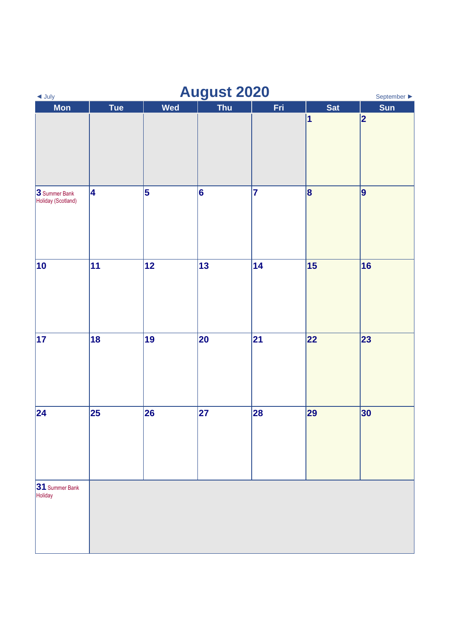| $\triangleleft$ July                | <b>August 2020</b><br>September > |           |            |     |            |            |  |  |
|-------------------------------------|-----------------------------------|-----------|------------|-----|------------|------------|--|--|
| <b>Mon</b>                          | <b>Tue</b>                        | Wed       | <b>Thu</b> | Fri | <b>Sat</b> | <b>Sun</b> |  |  |
|                                     |                                   |           |            |     | 1          | 2          |  |  |
| 3 Summer Bank<br>Holiday (Scotland) | 4                                 | $\vert$ 5 | 6          | 7   | 8          | 9          |  |  |
| 10                                  | 11                                | 12        | 13         | 14  | 15         | 16         |  |  |
| 17                                  | 18                                | 19        | 20         | 21  | 22         | 23         |  |  |
| 24                                  | 25                                | 26        | 27         | 28  | 29         | 30         |  |  |
| 31 Summer Bank<br>Holiday           |                                   |           |            |     |            |            |  |  |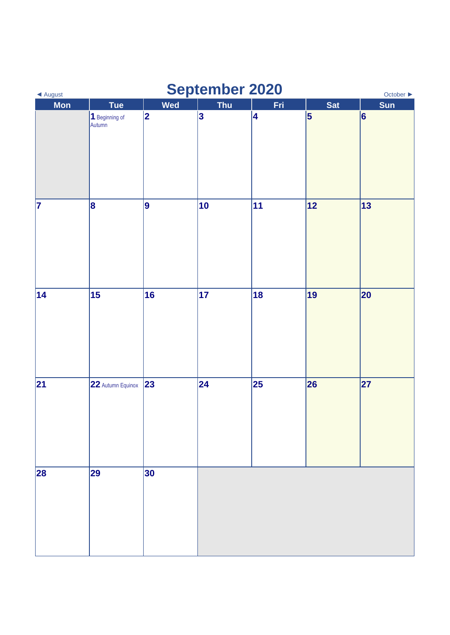| ◀ August | <b>September 2020</b><br>October $\blacktriangleright$ |                 |            |     |            |                 |  |  |
|----------|--------------------------------------------------------|-----------------|------------|-----|------------|-----------------|--|--|
| Mon      | <b>Tue</b>                                             | Wed             | <b>Thu</b> | Fri | <b>Sat</b> | Sun             |  |  |
|          | 1 Beginning of<br>Autumn                               | $ 2\rangle$     | 3          | 4   | $\vert$ 5  | $\vert 6 \vert$ |  |  |
| 7        | 8                                                      | 9               | 10         | 11  | 12         | 13              |  |  |
| 14       | 15                                                     | $\overline{16}$ | $\vert$ 17 | 18  | 19         | 20              |  |  |
| 21       | 22 Autumn Equinox                                      | 23              | 24         | 25  | 26         | 27              |  |  |
| 28       | 29                                                     | 30              |            |     |            |                 |  |  |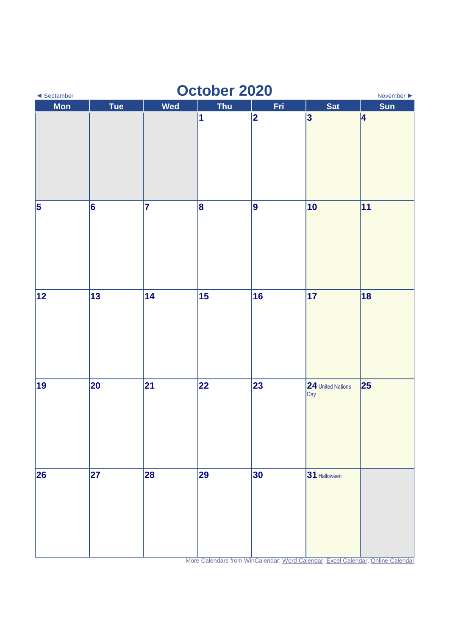| October 2020<br>◀ September<br>November $\blacktriangleright$ |     |     |            |                         |                          |            |  |
|---------------------------------------------------------------|-----|-----|------------|-------------------------|--------------------------|------------|--|
| <b>Mon</b>                                                    | Tue | Wed | <b>Thu</b> | Fri                     | Sat                      | <b>Sun</b> |  |
|                                                               |     |     | 1          | $\overline{\mathbf{2}}$ | 3                        | 4          |  |
| $\vert$ 5                                                     | 6   | 7   | 8          | 9                       | 10                       | 11         |  |
| 12                                                            | 13  | 14  | 15         | 16                      | $\overline{17}$          | 18         |  |
| 19                                                            | 20  | 21  | 22         | 23                      | 24 United Nations<br>Day | 25         |  |
| 26                                                            | 27  | 28  | 29         | 30                      | 31 Halloween             |            |  |

More Calendars from WinCalendar: [Word Calendar,](https://www.wincalendar.com/2021-Calendar-with-UK-Holidays) [Excel Calendar,](https://www.wincalendar.com/2021-Calendar-UK-Holidays-Excel) [Online Calendar](https://www.wincalendar.com/Calendar-UK)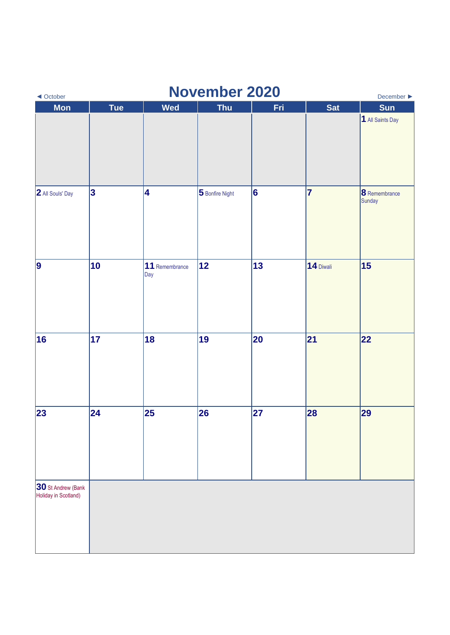| <b>November 2020</b><br>December $\blacktriangleright$<br>◀ October |            |                       |                 |     |            |                                |  |  |
|---------------------------------------------------------------------|------------|-----------------------|-----------------|-----|------------|--------------------------------|--|--|
| Mon                                                                 | <b>Tue</b> | Wed                   | <b>Thu</b>      | Fri | <b>Sat</b> | <b>Sun</b>                     |  |  |
|                                                                     |            |                       |                 |     |            | 1 All Saints Day               |  |  |
| 2 All Souls' Day                                                    | $\vert$ 3  | 4                     | 5 Bonfire Night | 6   | $\vert$ 7  | <b>8</b> Remembrance<br>Sunday |  |  |
| 9                                                                   | 10         | 11 Remembrance<br>Day | 12              | 13  | 14 Diwali  | 15                             |  |  |
| 16                                                                  | 17         | 18                    | 19              | 20  | 21         | 22                             |  |  |
| 23                                                                  | 24         | 25                    | 26              | 27  | 28         | 29                             |  |  |
| 30 St Andrew (Bank<br>Holiday in Scotland)                          |            |                       |                 |     |            |                                |  |  |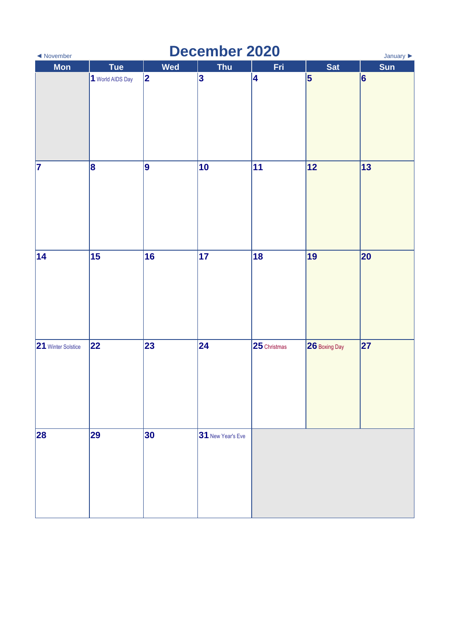| <b>December 2020</b><br>◀ November<br>January $\blacktriangleright$ |                  |            |                   |                      |                 |     |  |
|---------------------------------------------------------------------|------------------|------------|-------------------|----------------------|-----------------|-----|--|
| Mon                                                                 | <b>Tue</b>       | <b>Wed</b> | <b>Thu</b>        | Fri                  | <b>Sat</b>      | Sun |  |
|                                                                     | 1 World AIDS Day | 2          | 3                 | 4                    | $\vert 5 \vert$ | 6   |  |
| 7                                                                   | 8                | 9          | 10                | 11                   | 12              | 13  |  |
| 14                                                                  | 15               | 16         | 17                | 18                   | 19              | 20  |  |
| 21 Winter Solstice                                                  | 22               | 23         | 24                | $\vert$ 25 Christmas | 26 Boxing Day   | 27  |  |
| 28                                                                  | 29               | 30         | 31 New Year's Eve |                      |                 |     |  |